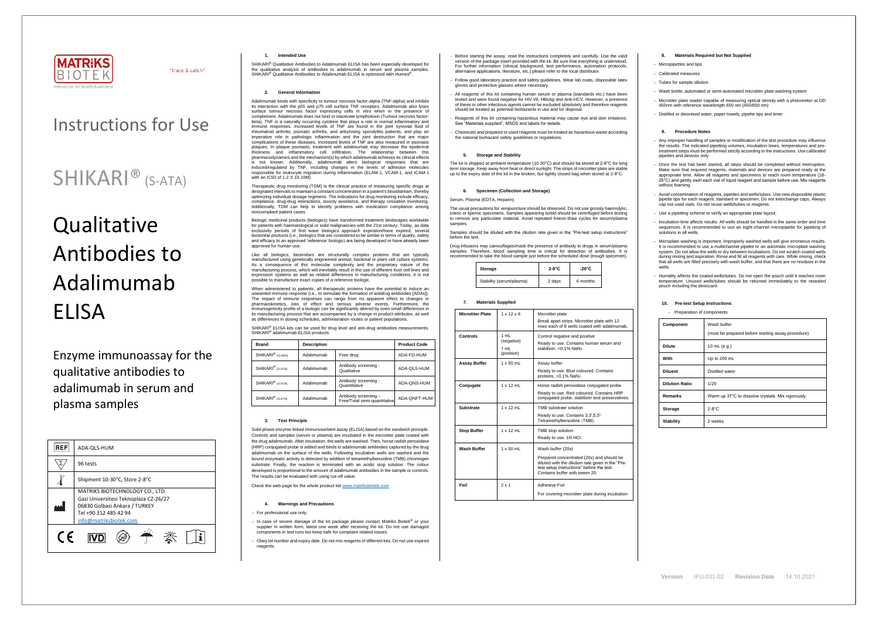

"trace & catch"

**Version** IFU-031-02 **Revision Date** 14.10.2021

# Instructions for Use

# **Qualitative** Antibodies to Adalimumab ELISA

# SHIKARI® (S-ATA)

### Enzyme immunoassay for the qualitative antibodies to adalimumab in serum and plasma samples

SHIKARI® Qualitative Antibodies to Adalimumab ELISA has been especially developed for the qualitative analysis of antibodies to adalimumab in serum and plasma samples. SHIKARI<sup>®</sup> Qualitative Antibodies to Adalimumab ELISA is optimized with Humira<sup>®</sup>

| REF        | ADA-QLS-HUM                                                                                                                                                  |  |  |
|------------|--------------------------------------------------------------------------------------------------------------------------------------------------------------|--|--|
|            | 96 tests                                                                                                                                                     |  |  |
|            | Shipment 10-30°C, Store 2-8°C                                                                                                                                |  |  |
|            | MATRIKS BIOTECHNOLOGY CO., LTD.<br>Gazi Universitesi Teknoplaza CZ-26/27<br>06830 Golbasi Ankara / TURKEY<br>Tel +90 312 485 42 94<br>info@matriksbiotek.com |  |  |
| $\epsilon$ |                                                                                                                                                              |  |  |

#### **1. Intended Use**

#### **2. General Information**

Biologic medicinal products (biologics) have transformed treatment landscapes worldwide for patients with haematological or solid malignancies with the 21st century. Today, as data exclusivity periods of first wave biologics approach expiration/have expired, several biosimilar products (i.e., biologics that are considered to be similar in terms of quality, safety and efficacy to an approved 'reference' biologic) are being developed or have already been and smoor, is uman use.

Adalimumab binds with specificity to tumour necrosis factor-alpha (TNF-alpha) and inhibits its interaction with the p55 and p75 cell surface TNF receptors. Adalimumab also lyses surface tumour necrosis factor expressing cells in vitro when in the presence of complement. Adalimumab does not bind or inactivate lymphotoxin (Tumour necrosis factorbeta). TNF is a naturally occurring cytokine that plays a role in normal inflammatory and immune responses. Increased levels of TNF are found in the joint synovial fluid of rheumatoid arthritis, psoriatic arthritis, and ankylosing spondylitis patients, and play an imperative role in pathologic inflammation and the joint destruction that are major complications of these diseases. Increased levels of TNF are also measured in psoriasis plaques. In plaque psoriasis, treatment with adalimumab may decrease the epidermal thickness and inflammatory cell infiltration. The relationship between this pharmacodynamics and the mechanism(s) by which adalimumab achieves its clinical effects is not known. Additionally, adalimumab alters biological responses that are induced/regulated by TNF, including changes in the levels of adhesion molecules responsible for leukocyte migration during inflammation (ELAM-1, VCAM-1, and ICAM-1 with an IC50 of 1-2 X 10-10M).

SHIKARI® ELISA kits can be used for drug level and anti-drug antibodies measurements. SHIKARI® adalimumab ELISA products:

Therapeutic drug monitoring (TDM) is the clinical practice of measuring specific drugs at designated intervals to maintain a constant concentration in a patient's bloodstream, thereby optimizing individual dosage regimens. The indications for drug monitoring include efficacy, compliance, drug-drug interactions, toxicity avoidance, and therapy cessation monitoring. Additionally, TDM can help to identify problems with medication compliance among noncompliant patient cases.

Like all biologics, biosimilars are structurally complex proteins that are typically manufactured using genetically engineered animal, bacterial or plant cell culture systems. As a consequence of this molecular complexity and the proprietary nature of the manufacturing process, which will inevitably result in the use of different host cell lines and expression systems as well as related differences in manufacturing conditions, it is not possible to manufacture exact copies of a reference biologic.

The usual precautions for venipuncture should be observed. Do not use grossly haemolytic, icteric or lipemic specimens. Samples appearing turbid should be centrifuged before testing to remove any particulate material. Avoid repeated freeze-thaw cycles for serum/plasma samples

When administered to patients, all therapeutic proteins have the potential to induce an unwanted immune response (i.e., to stimulate the formation of antidrug antibodies [ADAs]). The impact of immune responses can range from no apparent effect to changes in pharmacokinetics, loss of effect and serious adverse events. Furthermore, the immunogenicity profile of a biologic can be significantly altered by even small differences in its manufacturing process that are accompanied by a change in product attributes, as well as differences in dosing schedules, administration routes or patient populations.

| <b>Brand</b>                 | <b>Description</b> |                                                      | <b>Product Code</b> |
|------------------------------|--------------------|------------------------------------------------------|---------------------|
| SHIKARI <sup>®</sup> (Q-ADA) | Adalimumab         | Free drug                                            | ADA-FD-HUM          |
| SHIKARI <sup>®</sup> (S-ATA) | Adalimumab         | Antibody screening -<br>Qualitative                  | ADA-QLS-HUM         |
| SHIKARI <sup>®</sup> (S-ATA) | Adalimumab         | Antibody screening -<br>Quantitative                 | ADA-QNS-HUM         |
| SHIKARI <sup>®</sup> (S-ATA) | Adalimumab         | Antibody screening -<br>Free/Total semi-quantitative | ADA-QNFT-HUM        |

#### **3. Test Principle**

Any improper handling of samples or modification of the test procedure may influence the results. The indicated pipetting volumes, incubation times, temperatures and pretreatment steps must be performed strictly according to the instructions. Use calibrated pipettes and devices only.

− Once the test has been started, all steps should be completed without interruption. Make sure that required reagents, materials and devices are prepared ready at the appropriate time. Allow all reagents and specimens to reach room temperature (18- 25°C) and gently swirl each vial of liquid reagent and sample before use. Mix reagents without foaming.

Solid phase enzyme-linked immunosorbent assay (ELISA) based on the sandwich principle. Controls and samples (serum or plasma) are incubated in the microtiter plate coated with the drug adalimumab. After incubation, the wells are washed. Then, horse radish peroxidase (HRP) conjugated probe is added and binds to adalimumab antibodies captured by the drug adalimumab on the surface of the wells. Following incubation wells are washed and the bound enzymatic activity is detected by addition of tetramethylbenzidine (TMB) chromogen substrate. Finally, the reaction is terminated with an acidic stop solution. The colour developed is proportional to the amount of adalimumab antibodies in the sample or controls. The results can be evaluated with using cut-off value.

Check the web page for the whole product lis[t www.matriksbiotek.com](http://www.matriksbiotek.com/)

#### **4. Warnings and Precautions**

− For professional use only.

− In case of severe damage of the kit package please contact Matriks Biotek® or your supplier in written form, latest one week after receiving the kit. Do not use damaged components in test runs but keep safe for complaint related issues.

− Obey lot number and expiry date. Do not mix reagents of different lots. Do not use expired reagents.

- Before starting the assay, read the instructions completely and carefully. Use the valid version of the package insert provided with the kit. Be sure that everything is understood. For further information (clinical background, test performance, automation protocols, alternative applications, literature, etc.) please refer to the local distributor.
- − Follow good laboratory practice and safety guidelines. Wear lab coats, disposable latex gloves and protective glasses where necessary.
- − All reagents of this kit containing human serum or plasma (standards etc.) have been tested and were found negative for HIV I/II, HBsAg and Anti-HCV. However, a presence of these or other infectious agents cannot be excluded absolutely and therefore reagents should be treated as potential biohazards in use and for disposal
- Readents of this kit containing hazardous material may cause eye and skin irritations. See "Materials supplied", MSDS and labels for details.
- − Chemicals and prepared or used reagents must be treated as hazardous waste according the national biohazard safety guidelines or regulations.

#### **5. Storage and Stability**

The kit is shipped at ambient temperature (10-30°C) and should be stored at 2-8°C for long term storage. Keep away from heat or direct sunlight. The strips of microtiter plate are stable up to the expiry date of the kit in the broken, but tightly closed bag when stored at 2-8°C.

#### **6. Specimen (Collection and Storage)**

Serum, Plasma (EDTA, Heparin)

Samples should be diluted with the dilution rate given in the "Pre-test setup instructions" before the test.

Drug infusions may camouflages/mask the presence of antibody to drugs in serum/plasma samples. Therefore, blood sampling time is critical for detection of antibodies. It is recommended to take the blood sample just before the scheduled dose (trough specimen).

| Storage                  | $2-8$ °C | $-20^{\circ}$ C |  |
|--------------------------|----------|-----------------|--|
| Stability (serum/plasma) | 2 days   | 6 months        |  |

#### **7. Materials Supplied**

| <b>Microtiter Plate</b> | $1 \times 12 \times 8$                   | Microtiter plate<br>Break apart strips. Microtiter plate with 12<br>rows each of 8 wells coated with adalimumab.                                                                                  |
|-------------------------|------------------------------------------|---------------------------------------------------------------------------------------------------------------------------------------------------------------------------------------------------|
| Controls                | 1 mL<br>(negative)<br>1 mL<br>(positive) | Control negative and positive<br>Ready to use. Contains human serum and<br>stabilizer, < $0.1\%$ NaN <sub>3</sub> .                                                                               |
| <b>Assay Buffer</b>     | $1 \times 50$ ml                         | Assay buffer<br>Ready to use. Blue coloured. Contains<br>proteins, <0,1% NaN <sub>3</sub> .                                                                                                       |
| Conjugate               | $1 \times 12$ mL                         | Horse radish peroxidase conjugated probe<br>Ready to use. Red coloured. Contains HRP<br>conjugated probe, stabilizer and preservatives.                                                           |
| <b>Substrate</b>        | $1 \times 12$ mL                         | TMB substrate solution<br>Ready to use. Contains 3,3',5,5'-<br>Tetramethylbenzidine (TMB).                                                                                                        |
| <b>Stop Buffer</b>      | $1 \times 12$ ml                         | TMB stop solution<br>Ready to use. 1N HCI.                                                                                                                                                        |
| <b>Wash Buffer</b>      | $1 \times 50$ mL                         | Wash buffer (20x)<br>Prepared concentrated (20x) and should be<br>diluted with the dilution rate given in the "Pre-<br>test setup instructions" before the test.<br>Contains buffer with tween 20 |
| Foil                    | $2 \times 1$                             | Adhesive Foil<br>For covering microtiter plate during incubation                                                                                                                                  |

#### **8. Materials Required but Not Supplied**

− Micropipettes and tips

− Calibrated measures

− Tubes for sample dilution

Wash bottle, automated or semi-automated microtiter plate washing system

− Microtiter plate reader capable of measuring optical density with a photometer at OD 450nm with reference wavelength 650 nm (450/650 nm)

− Distilled or deionised water, paper towels, pipette tips and timer

#### **9. Procedure Notes**

− Avoid contamination of reagents, pipettes and wells/tubes. Use new disposable plastic pipette tips for each reagent, standard or specimen. Do not interchange caps. Always cap not used vials. Do not reuse wells/tubes or reagents.

− Use a pipetting scheme to verify an appropriate plate layout.

− Incubation time affects results. All wells should be handled in the same order and time sequences. It is recommended to use an eight-channel micropipette for pipetting of solutions in all wells.

− Microplate washing is important. Improperly washed wells will give erroneous results. It is recommended to use a multichannel pipette or an automatic microplate washing system. Do not allow the wells to dry between incubations. Do not scratch coated wells during rinsing and aspiration. Rinse and fill all reagents with care. While rinsing, check that all wells are filled precisely with wash buffer, and that there are no residues in the wells.

− Humidity affects the coated wells/tubes. Do not open the pouch until it reaches room temperature. Unused wells/tubes should be returned immediately to the resealed pouch including the desiccant.

#### **10. Pre-test Setup Instructions**

− Preparation of components

| Component             | Wash buffer<br>(must be prepared before starting assay procedure) |
|-----------------------|-------------------------------------------------------------------|
| <b>Dilute</b>         | 10 mL (e.g.)                                                      |
| With                  | Up to 200 mL                                                      |
| <b>Diluent</b>        | Distilled water                                                   |
| <b>Dilution Ratio</b> | 1/20                                                              |
| <b>Remarks</b>        | Warm up 37°C to dissolve crystals. Mix vigorously.                |
| Storage               | $2-8$ °C                                                          |
| <b>Stability</b>      | 2 weeks                                                           |